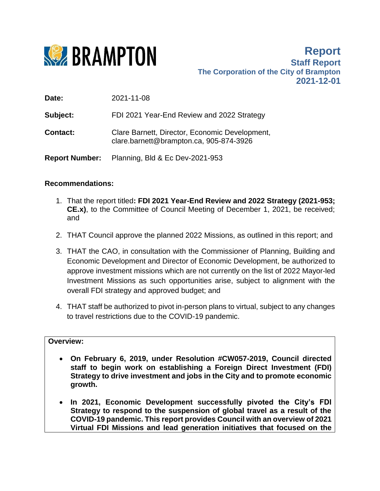

**Report Staff Report The Corporation of the City of Brampton 2021-12-01**

**Date:** 2021-11-08

**Subject:** FDI 2021 Year-End Review and 2022 Strategy

**Contact:** Clare Barnett, Director, Economic Development, clare.barnett@brampton.ca, 905-874-3926

**Report Number:** Planning, Bld & Ec Dev-2021-953

### **Recommendations:**

- 1. That the report titled**: FDI 2021 Year-End Review and 2022 Strategy (2021-953; CE.x)**, to the Committee of Council Meeting of December 1, 2021, be received; and
- 2. THAT Council approve the planned 2022 Missions, as outlined in this report; and
- 3. THAT the CAO, in consultation with the Commissioner of Planning, Building and Economic Development and Director of Economic Development, be authorized to approve investment missions which are not currently on the list of 2022 Mayor-led Investment Missions as such opportunities arise, subject to alignment with the overall FDI strategy and approved budget; and
- 4. THAT staff be authorized to pivot in-person plans to virtual, subject to any changes to travel restrictions due to the COVID-19 pandemic.

### **Overview:**

- **On February 6, 2019, under Resolution #CW057-2019, Council directed staff to begin work on establishing a Foreign Direct Investment (FDI) Strategy to drive investment and jobs in the City and to promote economic growth.**
- **In 2021, Economic Development successfully pivoted the City's FDI Strategy to respond to the suspension of global travel as a result of the COVID-19 pandemic. This report provides Council with an overview of 2021 Virtual FDI Missions and lead generation initiatives that focused on the**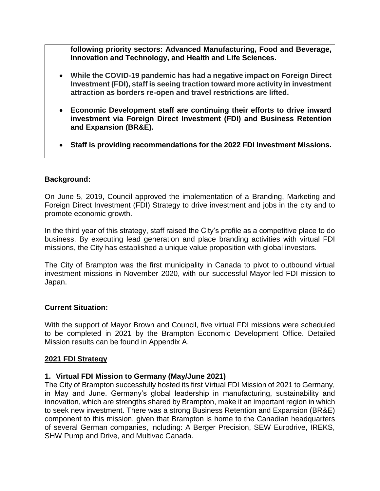**following priority sectors: Advanced Manufacturing, Food and Beverage, Innovation and Technology, and Health and Life Sciences.**

- **While the COVID-19 pandemic has had a negative impact on Foreign Direct Investment (FDI), staff is seeing traction toward more activity in investment attraction as borders re-open and travel restrictions are lifted.**
- **Economic Development staff are continuing their efforts to drive inward investment via Foreign Direct Investment (FDI) and Business Retention and Expansion (BR&E).**
- **Staff is providing recommendations for the 2022 FDI Investment Missions.**

### **Background:**

On June 5, 2019, Council approved the implementation of a Branding, Marketing and Foreign Direct Investment (FDI) Strategy to drive investment and jobs in the city and to promote economic growth.

In the third year of this strategy, staff raised the City's profile as a competitive place to do business. By executing lead generation and place branding activities with virtual FDI missions, the City has established a unique value proposition with global investors.

The City of Brampton was the first municipality in Canada to pivot to outbound virtual investment missions in November 2020, with our successful Mayor-led FDI mission to Japan.

### **Current Situation:**

With the support of Mayor Brown and Council, five virtual FDI missions were scheduled to be completed in 2021 by the Brampton Economic Development Office. Detailed Mission results can be found in Appendix A.

### **2021 FDI Strategy**

### **1. Virtual FDI Mission to Germany (May/June 2021)**

The City of Brampton successfully hosted its first Virtual FDI Mission of 2021 to Germany, in May and June. Germany's global leadership in manufacturing, sustainability and innovation, which are strengths shared by Brampton, make it an important region in which to seek new investment. There was a strong Business Retention and Expansion (BR&E) component to this mission, given that Brampton is home to the Canadian headquarters of several German companies, including: A Berger Precision, SEW Eurodrive, IREKS, SHW Pump and Drive, and Multivac Canada.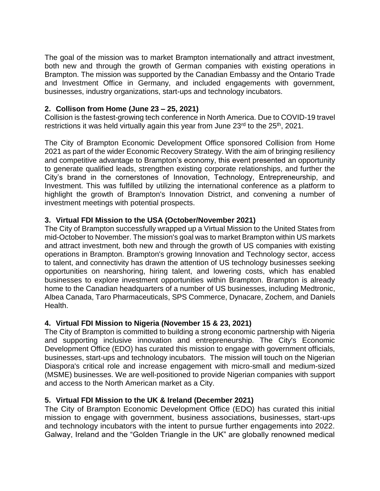The goal of the mission was to market Brampton internationally and attract investment, both new and through the growth of German companies with existing operations in Brampton. The mission was supported by the Canadian Embassy and the Ontario Trade and Investment Office in Germany, and included engagements with government, businesses, industry organizations, start-ups and technology incubators.

### **2. Collison from Home (June 23 – 25, 2021)**

Collision is the fastest-growing tech conference in North America. Due to COVID-19 travel restrictions it was held virtually again this year from June 23<sup>rd</sup> to the 25<sup>th</sup>, 2021.

The City of Brampton Economic Development Office sponsored Collision from Home 2021 as part of the wider Economic Recovery Strategy. With the aim of bringing resiliency and competitive advantage to Brampton's economy, this event presented an opportunity to generate qualified leads, strengthen existing corporate relationships, and further the City's brand in the cornerstones of Innovation, Technology, Entrepreneurship, and Investment. This was fulfilled by utilizing the international conference as a platform to highlight the growth of Brampton's Innovation District, and convening a number of investment meetings with potential prospects.

## **3. Virtual FDI Mission to the USA (October/November 2021)**

The City of Brampton successfully wrapped up a Virtual Mission to the United States from mid-October to November. The mission's goal was to market Brampton within US markets and attract investment, both new and through the growth of US companies with existing operations in Brampton. Brampton's growing Innovation and Technology sector, access to talent, and connectivity has drawn the attention of US technology businesses seeking opportunities on nearshoring, hiring talent, and lowering costs, which has enabled businesses to explore investment opportunities within Brampton. Brampton is already home to the Canadian headquarters of a number of US businesses, including Medtronic, Albea Canada, Taro Pharmaceuticals, SPS Commerce, Dynacare, Zochem, and Daniels Health.

## **4. Virtual FDI Mission to Nigeria (November 15 & 23, 2021)**

The City of Brampton is committed to building a strong economic partnership with Nigeria and supporting inclusive innovation and entrepreneurship. The City's Economic Development Office (EDO) has curated this mission to engage with government officials, businesses, start-ups and technology incubators. The mission will touch on the Nigerian Diaspora's critical role and increase engagement with micro-small and medium-sized (MSME) businesses. We are well-positioned to provide Nigerian companies with support and access to the North American market as a City.

## **5. Virtual FDI Mission to the UK & Ireland (December 2021)**

The City of Brampton Economic Development Office (EDO) has curated this initial mission to engage with government, business associations, businesses, start-ups and technology incubators with the intent to pursue further engagements into 2022. Galway, Ireland and the "Golden Triangle in the UK" are globally renowned medical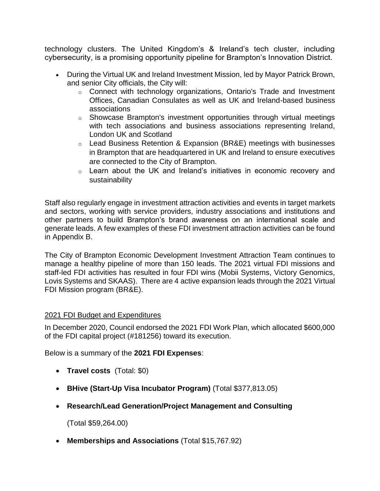technology clusters. The United Kingdom's & Ireland's tech cluster, including cybersecurity, is a promising opportunity pipeline for Brampton's Innovation District.

- During the Virtual UK and Ireland Investment Mission, led by Mayor Patrick Brown, and senior City officials, the City will:
	- o Connect with technology organizations, Ontario's Trade and Investment Offices, Canadian Consulates as well as UK and Ireland-based business associations
	- o Showcase Brampton's investment opportunities through virtual meetings with tech associations and business associations representing Ireland, London UK and Scotland
	- o Lead Business Retention & Expansion (BR&E) meetings with businesses in Brampton that are headquartered in UK and Ireland to ensure executives are connected to the City of Brampton.
	- o Learn about the UK and Ireland's initiatives in economic recovery and sustainability

Staff also regularly engage in investment attraction activities and events in target markets and sectors, working with service providers, industry associations and institutions and other partners to build Brampton's brand awareness on an international scale and generate leads. A few examples of these FDI investment attraction activities can be found in Appendix B.

The City of Brampton Economic Development Investment Attraction Team continues to manage a healthy pipeline of more than 150 leads. The 2021 virtual FDI missions and staff-led FDI activities has resulted in four FDI wins (Mobii Systems, Victory Genomics, Lovis Systems and SKAAS). There are 4 active expansion leads through the 2021 Virtual FDI Mission program (BR&E).

## 2021 FDI Budget and Expenditures

In December 2020, Council endorsed the 2021 FDI Work Plan, which allocated \$600,000 of the FDI capital project (#181256) toward its execution.

Below is a summary of the **2021 FDI Expenses**:

- **Travel costs** (Total: \$0)
- **BHive (Start-Up Visa Incubator Program)** (Total \$377,813.05)
- **Research/Lead Generation/Project Management and Consulting**

(Total \$59,264.00)

**Memberships and Associations** (Total \$15,767.92)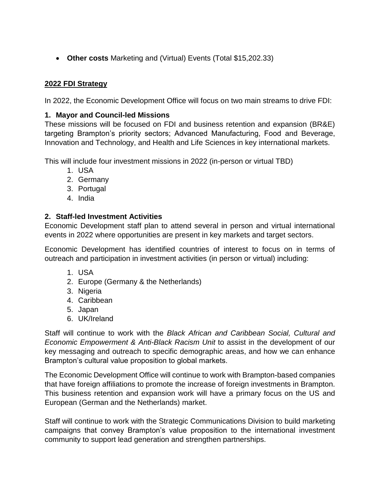**Other costs** Marketing and (Virtual) Events (Total \$15,202.33)

# **2022 FDI Strategy**

In 2022, the Economic Development Office will focus on two main streams to drive FDI:

## **1. Mayor and Council-led Missions**

These missions will be focused on FDI and business retention and expansion (BR&E) targeting Brampton's priority sectors; Advanced Manufacturing, Food and Beverage, Innovation and Technology, and Health and Life Sciences in key international markets.

This will include four investment missions in 2022 (in-person or virtual TBD)

- 1. USA
- 2. Germany
- 3. Portugal
- 4. India

## **2. Staff-led Investment Activities**

Economic Development staff plan to attend several in person and virtual international events in 2022 where opportunities are present in key markets and target sectors.

Economic Development has identified countries of interest to focus on in terms of outreach and participation in investment activities (in person or virtual) including:

- 1. USA
- 2. Europe (Germany & the Netherlands)
- 3. Nigeria
- 4. Caribbean
- 5. Japan
- 6. UK/Ireland

Staff will continue to work with the *Black African and Caribbean Social, Cultural and Economic Empowerment & Anti-Black Racism Unit* to assist in the development of our key messaging and outreach to specific demographic areas, and how we can enhance Brampton's cultural value proposition to global markets.

The Economic Development Office will continue to work with Brampton-based companies that have foreign affiliations to promote the increase of foreign investments in Brampton. This business retention and expansion work will have a primary focus on the US and European (German and the Netherlands) market.

Staff will continue to work with the Strategic Communications Division to build marketing campaigns that convey Brampton's value proposition to the international investment community to support lead generation and strengthen partnerships.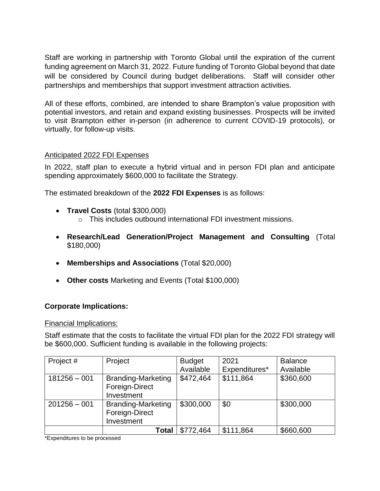Staff are working in partnership with Toronto Global until the expiration of the current funding agreement on March 31, 2022. Future funding of Toronto Global beyond that date will be considered by Council during budget deliberations. Staff will consider other partnerships and memberships that support investment attraction activities.

All of these efforts, combined, are intended to share Brampton's value proposition with potential investors, and retain and expand existing businesses. Prospects will be invited to visit Brampton either in-person (in adherence to current COVID-19 protocols), or virtually, for follow-up visits.

### Anticipated 2022 FDI Expenses

In 2022, staff plan to execute a hybrid virtual and in person FDI plan and anticipate spending approximately \$600,000 to facilitate the Strategy.

The estimated breakdown of the **2022 FDI Expenses** is as follows:

- **Travel Costs** (total \$300,000)
	- o This includes outbound international FDI investment missions.
- **Research/Lead Generation/Project Management and Consulting** (Total \$180,000)
- **Memberships and Associations** (Total \$20,000)
- **Other costs** Marketing and Events (Total \$100,000)

### **Corporate Implications:**

### Financial Implications:

Staff estimate that the costs to facilitate the virtual FDI plan for the 2022 FDI strategy will be \$600,000. Sufficient funding is available in the following projects:

| Project #      | Project                   | <b>Budget</b> | 2021          | <b>Balance</b> |
|----------------|---------------------------|---------------|---------------|----------------|
|                |                           | Available     | Expenditures* | Available      |
| $181256 - 001$ | <b>Branding-Marketing</b> | \$472,464     | \$111,864     | \$360,600      |
|                | Foreign-Direct            |               |               |                |
|                | Investment                |               |               |                |
| $201256 - 001$ | <b>Branding-Marketing</b> | \$300,000     | \$0           | \$300,000      |
|                | Foreign-Direct            |               |               |                |
|                | Investment                |               |               |                |
|                | Total                     | \$772,464     | \$111,864     | \$660,600      |

\*Expenditures to be processed